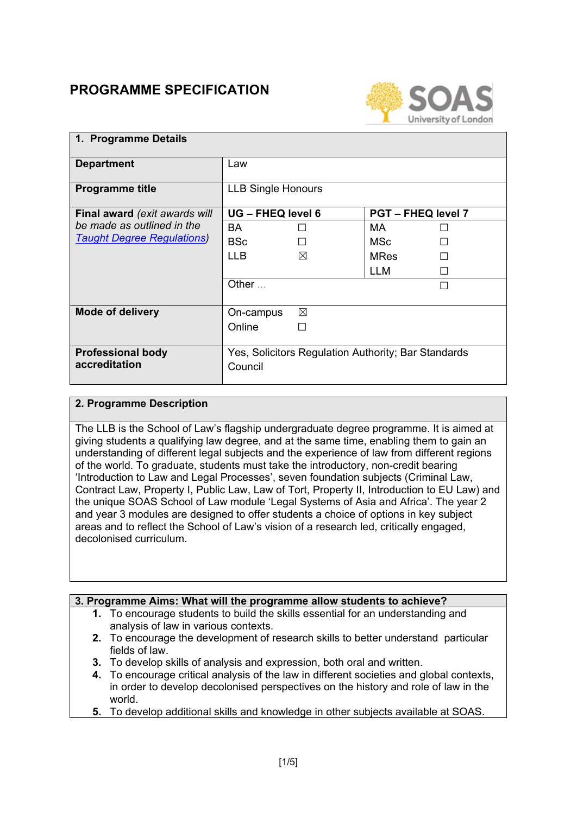# **PROGRAMME SPECIFICATION**



#### **1. Programme Details Department** Law **Programme title** LLB Single Honours **Final award** *(exit awards will be made as outlined in the [Taught Degree Regulations\)](https://www.soas.ac.uk/registry/degreeregulations/)* **UG – FHEQ level 6 PGT – FHEQ level 7**  $BA$   $\Box$  $BSc \qquad \qquad \Box$  $MA$   $\Box$  $MSc$   $\qquad \qquad \Box$  $LLB$   $\boxtimes$  MRes  $\Box$  $LLM$ Other  $\dots$ **Mode of delivery** │ On-campus ⊠ Online <del>□</del> **Professional body accreditation** Yes, Solicitors Regulation Authority; Bar Standards Council

### **2. Programme Description**

The LLB is the School of Law's flagship undergraduate degree programme. It is aimed at giving students a qualifying law degree, and at the same time, enabling them to gain an understanding of different legal subjects and the experience of law from different regions of the world. To graduate, students must take the introductory, non-credit bearing 'Introduction to Law and Legal Processes', seven foundation subjects (Criminal Law, Contract Law, Property I, Public Law, Law of Tort, Property II, Introduction to EU Law) and the unique SOAS School of Law module 'Legal Systems of Asia and Africa'. The year 2 and year 3 modules are designed to offer students a choice of options in key subject areas and to reflect the School of Law's vision of a research led, critically engaged, decolonised curriculum.

#### **3. Programme Aims: What will the programme allow students to achieve?**

- **1.** To encourage students to build the skills essential for an understanding and analysis of law in various contexts.
- **2.** To encourage the development of research skills to better understand particular fields of law.
- **3.** To develop skills of analysis and expression, both oral and written.
- **4.** To encourage critical analysis of the law in different societies and global contexts, in order to develop decolonised perspectives on the history and role of law in the world.
- **5.** To develop additional skills and knowledge in other subjects available at SOAS.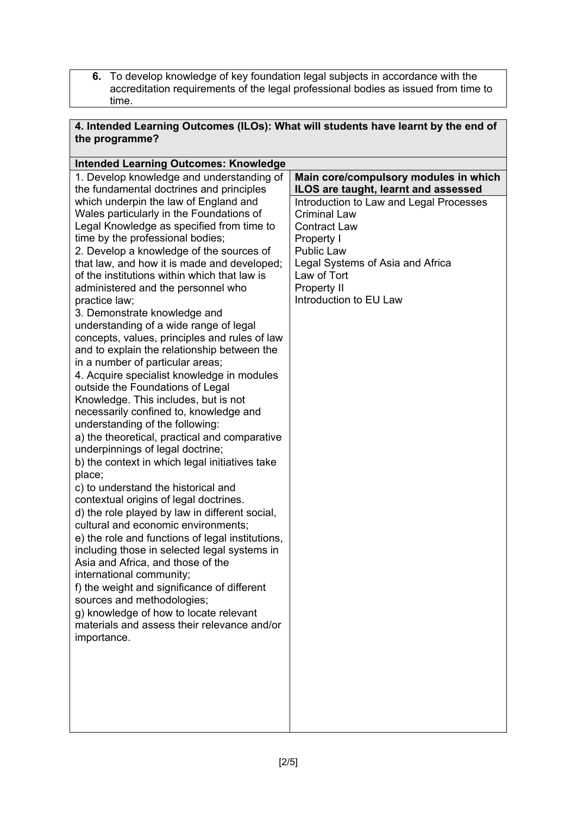**6.** To develop knowledge of key foundation legal subjects in accordance with the accreditation requirements of the legal professional bodies as issued from time to time.

| 4. Intended Learning Outcomes (ILOs): What will students have learnt by the end of<br>the programme? |                                         |  |  |
|------------------------------------------------------------------------------------------------------|-----------------------------------------|--|--|
| <b>Intended Learning Outcomes: Knowledge</b>                                                         |                                         |  |  |
| 1. Develop knowledge and understanding of                                                            | Main core/compulsory modules in which   |  |  |
| the fundamental doctrines and principles                                                             | ILOS are taught, learnt and assessed    |  |  |
| which underpin the law of England and                                                                | Introduction to Law and Legal Processes |  |  |
| Wales particularly in the Foundations of                                                             | <b>Criminal Law</b>                     |  |  |
| Legal Knowledge as specified from time to                                                            | <b>Contract Law</b>                     |  |  |
| time by the professional bodies;                                                                     | Property I                              |  |  |
| 2. Develop a knowledge of the sources of                                                             | <b>Public Law</b>                       |  |  |
| that law, and how it is made and developed;                                                          | Legal Systems of Asia and Africa        |  |  |

Law of Tort Property II

Introduction to EU Law

| Asia and Africa, and those of the           |  |
|---------------------------------------------|--|
| international community;                    |  |
| f) the weight and significance of different |  |
| sources and methodologies;                  |  |
| g) knowledge of how to locate relevant      |  |
| materials and assess their relevance and/or |  |
| importance.                                 |  |
|                                             |  |
|                                             |  |
|                                             |  |
|                                             |  |

of the institutions within which that law is administered and the personnel who

understanding of a wide range of legal concepts, values, principles and rules of law and to explain the relationship between the

4. Acquire specialist knowledge in modules

a) the theoretical, practical and comparative

b) the context in which legal initiatives take

d) the role played by law in different social, cultural and economic environments;

e) the role and functions of legal institutions, including those in selected legal systems in

3. Demonstrate knowledge and

in a number of particular areas;

outside the Foundations of Legal Knowledge. This includes, but is not necessarily confined to, knowledge and

understanding of the following:

underpinnings of legal doctrine;

c) to understand the historical and contextual origins of legal doctrines.

practice law;

place;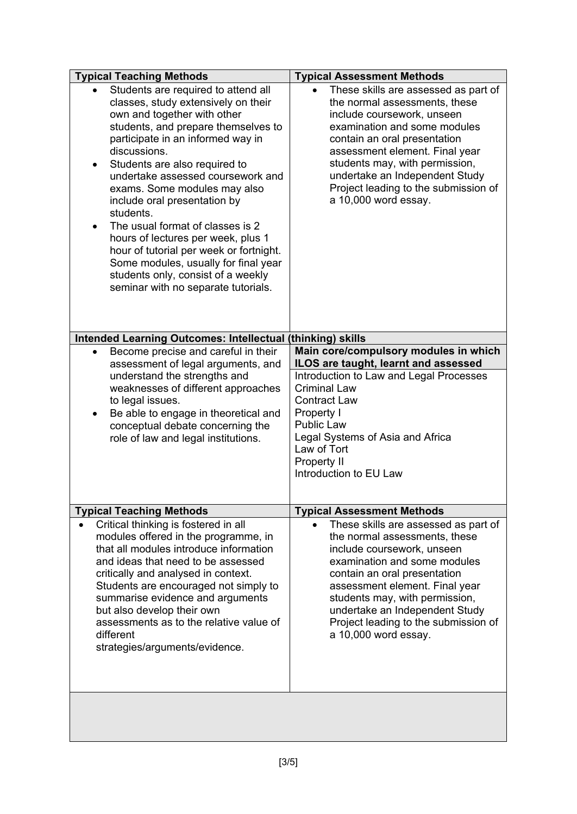| <b>Typical Teaching Methods</b>                                                                                                                                                                                                                                                                                                                                                                                                                                                                                                                                                                         | <b>Typical Assessment Methods</b>                                                                                                                                                                                                                                                                                                         |  |
|---------------------------------------------------------------------------------------------------------------------------------------------------------------------------------------------------------------------------------------------------------------------------------------------------------------------------------------------------------------------------------------------------------------------------------------------------------------------------------------------------------------------------------------------------------------------------------------------------------|-------------------------------------------------------------------------------------------------------------------------------------------------------------------------------------------------------------------------------------------------------------------------------------------------------------------------------------------|--|
| Students are required to attend all<br>classes, study extensively on their<br>own and together with other<br>students, and prepare themselves to<br>participate in an informed way in<br>discussions.<br>Students are also required to<br>٠<br>undertake assessed coursework and<br>exams. Some modules may also<br>include oral presentation by<br>students.<br>The usual format of classes is 2<br>hours of lectures per week, plus 1<br>hour of tutorial per week or fortnight.<br>Some modules, usually for final year<br>students only, consist of a weekly<br>seminar with no separate tutorials. | These skills are assessed as part of<br>the normal assessments, these<br>include coursework, unseen<br>examination and some modules<br>contain an oral presentation<br>assessment element. Final year<br>students may, with permission,<br>undertake an Independent Study<br>Project leading to the submission of<br>a 10,000 word essay. |  |
|                                                                                                                                                                                                                                                                                                                                                                                                                                                                                                                                                                                                         |                                                                                                                                                                                                                                                                                                                                           |  |
| Intended Learning Outcomes: Intellectual (thinking) skills<br>Become precise and careful in their<br>$\bullet$                                                                                                                                                                                                                                                                                                                                                                                                                                                                                          | Main core/compulsory modules in which                                                                                                                                                                                                                                                                                                     |  |
| assessment of legal arguments, and                                                                                                                                                                                                                                                                                                                                                                                                                                                                                                                                                                      | ILOS are taught, learnt and assessed                                                                                                                                                                                                                                                                                                      |  |
| understand the strengths and                                                                                                                                                                                                                                                                                                                                                                                                                                                                                                                                                                            | Introduction to Law and Legal Processes                                                                                                                                                                                                                                                                                                   |  |
| weaknesses of different approaches                                                                                                                                                                                                                                                                                                                                                                                                                                                                                                                                                                      | <b>Criminal Law</b>                                                                                                                                                                                                                                                                                                                       |  |
| to legal issues.                                                                                                                                                                                                                                                                                                                                                                                                                                                                                                                                                                                        | <b>Contract Law</b><br>Property I                                                                                                                                                                                                                                                                                                         |  |
| Be able to engage in theoretical and<br>٠<br>conceptual debate concerning the                                                                                                                                                                                                                                                                                                                                                                                                                                                                                                                           | <b>Public Law</b>                                                                                                                                                                                                                                                                                                                         |  |
| role of law and legal institutions.                                                                                                                                                                                                                                                                                                                                                                                                                                                                                                                                                                     | Legal Systems of Asia and Africa                                                                                                                                                                                                                                                                                                          |  |
|                                                                                                                                                                                                                                                                                                                                                                                                                                                                                                                                                                                                         | Law of Tort                                                                                                                                                                                                                                                                                                                               |  |
|                                                                                                                                                                                                                                                                                                                                                                                                                                                                                                                                                                                                         | Property II                                                                                                                                                                                                                                                                                                                               |  |
|                                                                                                                                                                                                                                                                                                                                                                                                                                                                                                                                                                                                         | Introduction to EU Law                                                                                                                                                                                                                                                                                                                    |  |
|                                                                                                                                                                                                                                                                                                                                                                                                                                                                                                                                                                                                         |                                                                                                                                                                                                                                                                                                                                           |  |
| <b>Typical Teaching Methods</b>                                                                                                                                                                                                                                                                                                                                                                                                                                                                                                                                                                         | <b>Typical Assessment Methods</b>                                                                                                                                                                                                                                                                                                         |  |
| Critical thinking is fostered in all                                                                                                                                                                                                                                                                                                                                                                                                                                                                                                                                                                    | These skills are assessed as part of                                                                                                                                                                                                                                                                                                      |  |
| modules offered in the programme, in<br>that all modules introduce information                                                                                                                                                                                                                                                                                                                                                                                                                                                                                                                          | the normal assessments, these                                                                                                                                                                                                                                                                                                             |  |
| and ideas that need to be assessed                                                                                                                                                                                                                                                                                                                                                                                                                                                                                                                                                                      | include coursework, unseen<br>examination and some modules                                                                                                                                                                                                                                                                                |  |
| critically and analysed in context.                                                                                                                                                                                                                                                                                                                                                                                                                                                                                                                                                                     | contain an oral presentation                                                                                                                                                                                                                                                                                                              |  |
| Students are encouraged not simply to                                                                                                                                                                                                                                                                                                                                                                                                                                                                                                                                                                   | assessment element. Final year                                                                                                                                                                                                                                                                                                            |  |
| summarise evidence and arguments                                                                                                                                                                                                                                                                                                                                                                                                                                                                                                                                                                        | students may, with permission,                                                                                                                                                                                                                                                                                                            |  |
| but also develop their own<br>assessments as to the relative value of                                                                                                                                                                                                                                                                                                                                                                                                                                                                                                                                   | undertake an Independent Study<br>Project leading to the submission of                                                                                                                                                                                                                                                                    |  |
| different                                                                                                                                                                                                                                                                                                                                                                                                                                                                                                                                                                                               | a 10,000 word essay.                                                                                                                                                                                                                                                                                                                      |  |
| strategies/arguments/evidence.                                                                                                                                                                                                                                                                                                                                                                                                                                                                                                                                                                          |                                                                                                                                                                                                                                                                                                                                           |  |
|                                                                                                                                                                                                                                                                                                                                                                                                                                                                                                                                                                                                         |                                                                                                                                                                                                                                                                                                                                           |  |
|                                                                                                                                                                                                                                                                                                                                                                                                                                                                                                                                                                                                         |                                                                                                                                                                                                                                                                                                                                           |  |
|                                                                                                                                                                                                                                                                                                                                                                                                                                                                                                                                                                                                         |                                                                                                                                                                                                                                                                                                                                           |  |
|                                                                                                                                                                                                                                                                                                                                                                                                                                                                                                                                                                                                         |                                                                                                                                                                                                                                                                                                                                           |  |
|                                                                                                                                                                                                                                                                                                                                                                                                                                                                                                                                                                                                         |                                                                                                                                                                                                                                                                                                                                           |  |
|                                                                                                                                                                                                                                                                                                                                                                                                                                                                                                                                                                                                         |                                                                                                                                                                                                                                                                                                                                           |  |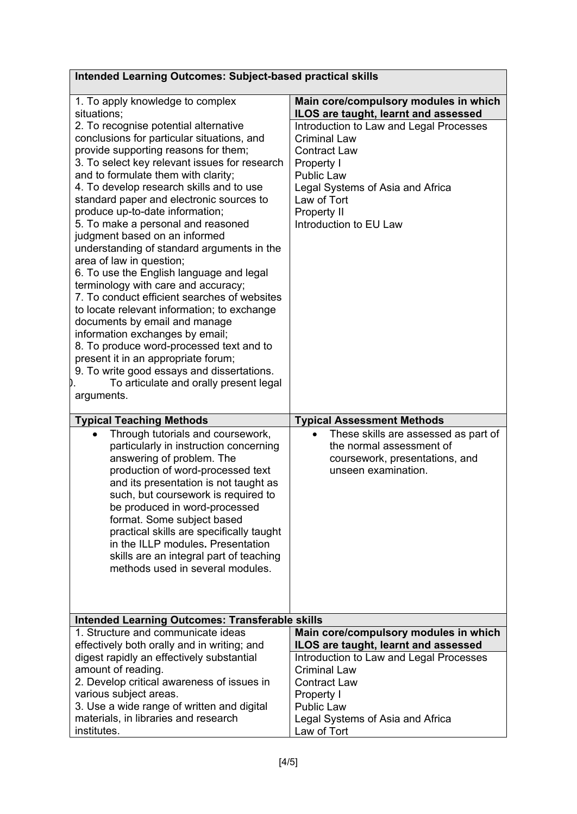| <b>Intended Learning Outcomes: Subject-based practical skills</b>                                                                                                                                                                                                                                                                                                                                                                                                                                                                                                                                                                                                                                                                                                                                                                                                                                                                                    |                                                                                                                                                                                                                                               |  |  |  |
|------------------------------------------------------------------------------------------------------------------------------------------------------------------------------------------------------------------------------------------------------------------------------------------------------------------------------------------------------------------------------------------------------------------------------------------------------------------------------------------------------------------------------------------------------------------------------------------------------------------------------------------------------------------------------------------------------------------------------------------------------------------------------------------------------------------------------------------------------------------------------------------------------------------------------------------------------|-----------------------------------------------------------------------------------------------------------------------------------------------------------------------------------------------------------------------------------------------|--|--|--|
| 1. To apply knowledge to complex<br>situations;                                                                                                                                                                                                                                                                                                                                                                                                                                                                                                                                                                                                                                                                                                                                                                                                                                                                                                      | Main core/compulsory modules in which<br>ILOS are taught, learnt and assessed                                                                                                                                                                 |  |  |  |
| 2. To recognise potential alternative<br>conclusions for particular situations, and<br>provide supporting reasons for them;<br>3. To select key relevant issues for research<br>and to formulate them with clarity;<br>4. To develop research skills and to use<br>standard paper and electronic sources to<br>produce up-to-date information;<br>5. To make a personal and reasoned<br>judgment based on an informed<br>understanding of standard arguments in the<br>area of law in question;<br>6. To use the English language and legal<br>terminology with care and accuracy;<br>7. To conduct efficient searches of websites<br>to locate relevant information; to exchange<br>documents by email and manage<br>information exchanges by email;<br>8. To produce word-processed text and to<br>present it in an appropriate forum;<br>9. To write good essays and dissertations.<br>To articulate and orally present legal<br>D.<br>arguments. | Introduction to Law and Legal Processes<br><b>Criminal Law</b><br><b>Contract Law</b><br>Property I<br><b>Public Law</b><br>Legal Systems of Asia and Africa<br>Law of Tort<br><b>Property II</b><br>Introduction to EU Law                   |  |  |  |
| <b>Typical Teaching Methods</b>                                                                                                                                                                                                                                                                                                                                                                                                                                                                                                                                                                                                                                                                                                                                                                                                                                                                                                                      | <b>Typical Assessment Methods</b>                                                                                                                                                                                                             |  |  |  |
| Through tutorials and coursework,<br>$\bullet$<br>particularly in instruction concerning                                                                                                                                                                                                                                                                                                                                                                                                                                                                                                                                                                                                                                                                                                                                                                                                                                                             | These skills are assessed as part of<br>the normal assessment of                                                                                                                                                                              |  |  |  |
| answering of problem. The<br>production of word-processed text<br>and its presentation is not taught as<br>such, but coursework is required to<br>be produced in word-processed<br>format. Some subject based<br>practical skills are specifically taught<br>in the ILLP modules. Presentation<br>skills are an integral part of teaching<br>methods used in several modules.                                                                                                                                                                                                                                                                                                                                                                                                                                                                                                                                                                        | coursework, presentations, and<br>unseen examination.                                                                                                                                                                                         |  |  |  |
| <b>Intended Learning Outcomes: Transferable skills</b>                                                                                                                                                                                                                                                                                                                                                                                                                                                                                                                                                                                                                                                                                                                                                                                                                                                                                               |                                                                                                                                                                                                                                               |  |  |  |
| 1. Structure and communicate ideas<br>effectively both orally and in writing; and<br>digest rapidly an effectively substantial<br>amount of reading.<br>2. Develop critical awareness of issues in<br>various subject areas.<br>3. Use a wide range of written and digital<br>materials, in libraries and research                                                                                                                                                                                                                                                                                                                                                                                                                                                                                                                                                                                                                                   | Main core/compulsory modules in which<br>ILOS are taught, learnt and assessed<br>Introduction to Law and Legal Processes<br><b>Criminal Law</b><br><b>Contract Law</b><br>Property I<br><b>Public Law</b><br>Legal Systems of Asia and Africa |  |  |  |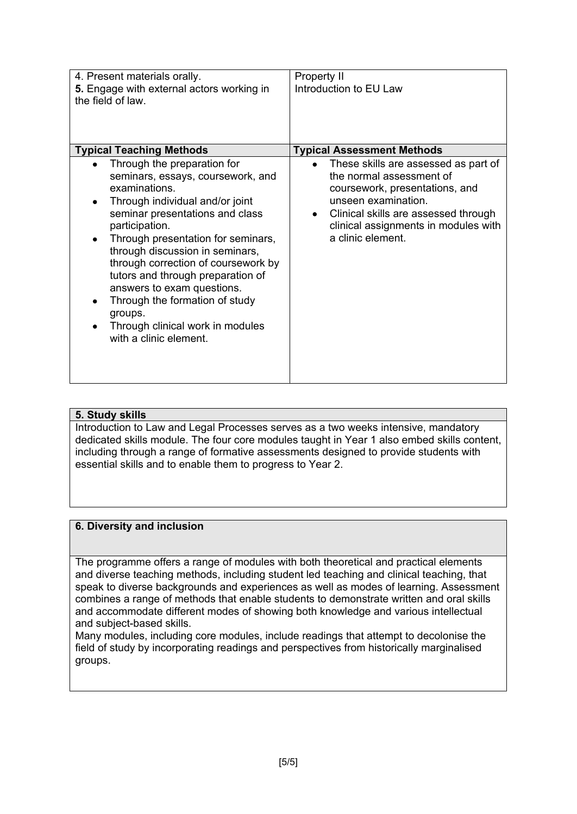| 4. Present materials orally.<br>5. Engage with external actors working in<br>the field of law.                                                                                                                                                                                                                                                                                                                                                                                                                                    | Property II<br>Introduction to EU Law                                                                                                                                                                                                                                            |
|-----------------------------------------------------------------------------------------------------------------------------------------------------------------------------------------------------------------------------------------------------------------------------------------------------------------------------------------------------------------------------------------------------------------------------------------------------------------------------------------------------------------------------------|----------------------------------------------------------------------------------------------------------------------------------------------------------------------------------------------------------------------------------------------------------------------------------|
| <b>Typical Teaching Methods</b><br>Through the preparation for<br>$\bullet$<br>seminars, essays, coursework, and<br>examinations.<br>Through individual and/or joint<br>٠<br>seminar presentations and class<br>participation.<br>Through presentation for seminars,<br>٠<br>through discussion in seminars,<br>through correction of coursework by<br>tutors and through preparation of<br>answers to exam questions.<br>Through the formation of study<br>groups.<br>Through clinical work in modules<br>with a clinic element. | <b>Typical Assessment Methods</b><br>These skills are assessed as part of<br>the normal assessment of<br>coursework, presentations, and<br>unseen examination.<br>Clinical skills are assessed through<br>$\bullet$<br>clinical assignments in modules with<br>a clinic element. |

#### **5. Study skills**

Introduction to Law and Legal Processes serves as a two weeks intensive, mandatory dedicated skills module. The four core modules taught in Year 1 also embed skills content, including through a range of formative assessments designed to provide students with essential skills and to enable them to progress to Year 2.

#### **6. Diversity and inclusion**

The programme offers a range of modules with both theoretical and practical elements and diverse teaching methods, including student led teaching and clinical teaching, that speak to diverse backgrounds and experiences as well as modes of learning. Assessment combines a range of methods that enable students to demonstrate written and oral skills and accommodate different modes of showing both knowledge and various intellectual and subject-based skills.

Many modules, including core modules, include readings that attempt to decolonise the field of study by incorporating readings and perspectives from historically marginalised groups.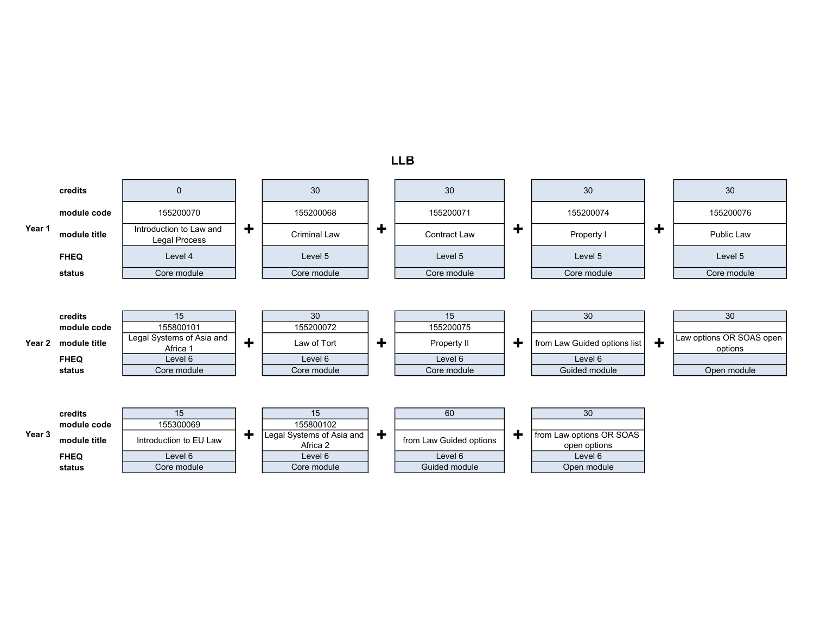